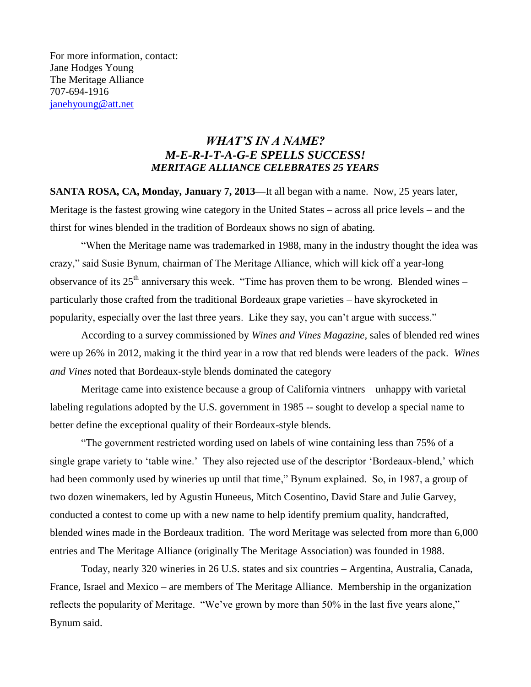For more information, contact: Jane Hodges Young The Meritage Alliance 707-694-1916 [janehyoung@att.net](mailto:janehyoung@att.net)

## *WHAT'S IN A NAME? M-E-R-I-T-A-G-E SPELLS SUCCESS! MERITAGE ALLIANCE CELEBRATES 25 YEARS*

**SANTA ROSA, CA, Monday, January 7, 2013—**It all began with a name. Now, 25 years later, Meritage is the fastest growing wine category in the United States – across all price levels – and the thirst for wines blended in the tradition of Bordeaux shows no sign of abating.

"When the Meritage name was trademarked in 1988, many in the industry thought the idea was crazy," said Susie Bynum, chairman of The Meritage Alliance, which will kick off a year-long observance of its  $25<sup>th</sup>$  anniversary this week. "Time has proven them to be wrong. Blended wines – particularly those crafted from the traditional Bordeaux grape varieties – have skyrocketed in popularity, especially over the last three years. Like they say, you can't argue with success."

According to a survey commissioned by *Wines and Vines Magazine,* sales of blended red wines were up 26% in 2012, making it the third year in a row that red blends were leaders of the pack. *Wines and Vines* noted that Bordeaux-style blends dominated the category

Meritage came into existence because a group of California vintners – unhappy with varietal labeling regulations adopted by the U.S. government in 1985 -- sought to develop a special name to better define the exceptional quality of their Bordeaux-style blends.

"The government restricted wording used on labels of wine containing less than 75% of a single grape variety to 'table wine.' They also rejected use of the descriptor 'Bordeaux-blend,' which had been commonly used by wineries up until that time," Bynum explained. So, in 1987, a group of two dozen winemakers, led by Agustin Huneeus, Mitch Cosentino, David Stare and Julie Garvey, conducted a contest to come up with a new name to help identify premium quality, handcrafted, blended wines made in the Bordeaux tradition. The word Meritage was selected from more than 6,000 entries and The Meritage Alliance (originally The Meritage Association) was founded in 1988.

Today, nearly 320 wineries in 26 U.S. states and six countries – Argentina, Australia, Canada, France, Israel and Mexico – are members of The Meritage Alliance. Membership in the organization reflects the popularity of Meritage. "We've grown by more than 50% in the last five years alone," Bynum said.